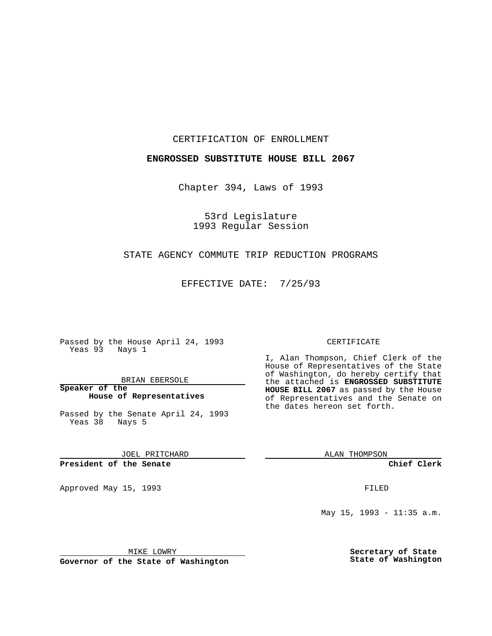CERTIFICATION OF ENROLLMENT

### **ENGROSSED SUBSTITUTE HOUSE BILL 2067**

Chapter 394, Laws of 1993

53rd Legislature 1993 Regular Session

### STATE AGENCY COMMUTE TRIP REDUCTION PROGRAMS

EFFECTIVE DATE: 7/25/93

Passed by the House April 24, 1993 Yeas 93 Nays 1

BRIAN EBERSOLE

**Speaker of the House of Representatives**

Passed by the Senate April 24, 1993 Yeas 38 Nays 5

JOEL PRITCHARD

## **President of the Senate**

Approved May 15, 1993 **FILED** 

#### CERTIFICATE

I, Alan Thompson, Chief Clerk of the House of Representatives of the State of Washington, do hereby certify that the attached is **ENGROSSED SUBSTITUTE HOUSE BILL 2067** as passed by the House of Representatives and the Senate on the dates hereon set forth.

ALAN THOMPSON

**Chief Clerk**

May 15, 1993 - 11:35 a.m.

MIKE LOWRY

**Governor of the State of Washington**

**Secretary of State State of Washington**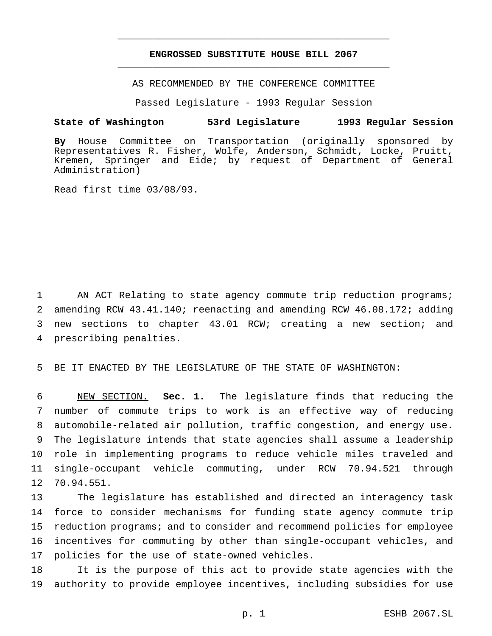# **ENGROSSED SUBSTITUTE HOUSE BILL 2067** \_\_\_\_\_\_\_\_\_\_\_\_\_\_\_\_\_\_\_\_\_\_\_\_\_\_\_\_\_\_\_\_\_\_\_\_\_\_\_\_\_\_\_\_\_\_\_

\_\_\_\_\_\_\_\_\_\_\_\_\_\_\_\_\_\_\_\_\_\_\_\_\_\_\_\_\_\_\_\_\_\_\_\_\_\_\_\_\_\_\_\_\_\_\_

AS RECOMMENDED BY THE CONFERENCE COMMITTEE

Passed Legislature - 1993 Regular Session

#### **State of Washington 53rd Legislature 1993 Regular Session**

**By** House Committee on Transportation (originally sponsored by Representatives R. Fisher, Wolfe, Anderson, Schmidt, Locke, Pruitt, Kremen, Springer and Eide; by request of Department of General Administration)

Read first time 03/08/93.

 AN ACT Relating to state agency commute trip reduction programs; amending RCW 43.41.140; reenacting and amending RCW 46.08.172; adding new sections to chapter 43.01 RCW; creating a new section; and prescribing penalties.

BE IT ENACTED BY THE LEGISLATURE OF THE STATE OF WASHINGTON:

 NEW SECTION. **Sec. 1.** The legislature finds that reducing the number of commute trips to work is an effective way of reducing automobile-related air pollution, traffic congestion, and energy use. The legislature intends that state agencies shall assume a leadership role in implementing programs to reduce vehicle miles traveled and single-occupant vehicle commuting, under RCW 70.94.521 through 70.94.551.

 The legislature has established and directed an interagency task force to consider mechanisms for funding state agency commute trip reduction programs; and to consider and recommend policies for employee incentives for commuting by other than single-occupant vehicles, and policies for the use of state-owned vehicles.

 It is the purpose of this act to provide state agencies with the authority to provide employee incentives, including subsidies for use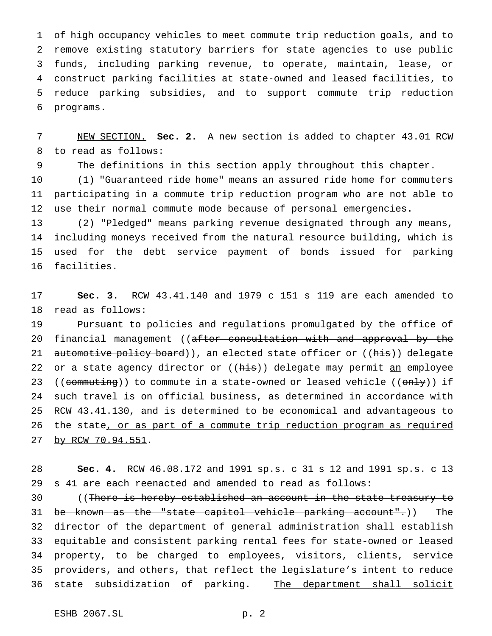of high occupancy vehicles to meet commute trip reduction goals, and to remove existing statutory barriers for state agencies to use public funds, including parking revenue, to operate, maintain, lease, or construct parking facilities at state-owned and leased facilities, to reduce parking subsidies, and to support commute trip reduction programs.

 NEW SECTION. **Sec. 2.** A new section is added to chapter 43.01 RCW to read as follows:

The definitions in this section apply throughout this chapter.

 (1) "Guaranteed ride home" means an assured ride home for commuters participating in a commute trip reduction program who are not able to use their normal commute mode because of personal emergencies.

 (2) "Pledged" means parking revenue designated through any means, including moneys received from the natural resource building, which is used for the debt service payment of bonds issued for parking facilities.

 **Sec. 3.** RCW 43.41.140 and 1979 c 151 s 119 are each amended to read as follows:

 Pursuant to policies and regulations promulgated by the office of 20 financial management ((after consultation with and approval by the 21 automotive policy board)), an elected state officer or ((his)) delegate 22 or a state agency director or ((his)) delegate may permit an employee 23 ((commuting)) to commute in a state\_owned or leased vehicle ((only)) if such travel is on official business, as determined in accordance with RCW 43.41.130, and is determined to be economical and advantageous to the state, or as part of a commute trip reduction program as required 27 by RCW 70.94.551.

 **Sec. 4.** RCW 46.08.172 and 1991 sp.s. c 31 s 12 and 1991 sp.s. c 13 s 41 are each reenacted and amended to read as follows:

30 ((There is hereby established an account in the state treasury to be known as the "state capitol vehicle parking account".)) The director of the department of general administration shall establish equitable and consistent parking rental fees for state-owned or leased property, to be charged to employees, visitors, clients, service providers, and others, that reflect the legislature's intent to reduce 36 state subsidization of parking. The department shall solicit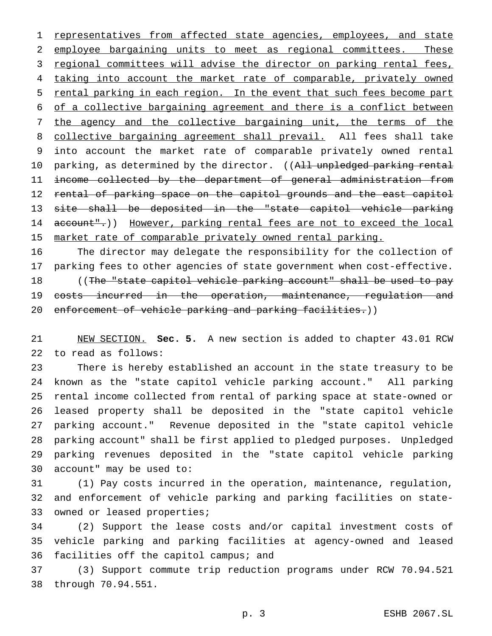1 representatives from affected state agencies, employees, and state employee bargaining units to meet as regional committees. These 3 regional committees will advise the director on parking rental fees, 4 taking into account the market rate of comparable, privately owned 5 rental parking in each region. In the event that such fees become part of a collective bargaining agreement and there is a conflict between the agency and the collective bargaining unit, the terms of the 8 collective bargaining agreement shall prevail. All fees shall take into account the market rate of comparable privately owned rental 10 parking, as determined by the director. ((All unpledged parking rental income collected by the department of general administration from 12 rental of parking space on the capitol grounds and the east capitol site shall be deposited in the "state capitol vehicle parking 14 account".)) However, parking rental fees are not to exceed the local 15 market rate of comparable privately owned rental parking.

 The director may delegate the responsibility for the collection of parking fees to other agencies of state government when cost-effective. 18 ((The "state capitol vehicle parking account" shall be used to pay 19 costs incurred in the operation, maintenance, regulation and 20 enforcement of vehicle parking and parking facilities.))

 NEW SECTION. **Sec. 5.** A new section is added to chapter 43.01 RCW to read as follows:

 There is hereby established an account in the state treasury to be known as the "state capitol vehicle parking account." All parking rental income collected from rental of parking space at state-owned or leased property shall be deposited in the "state capitol vehicle parking account." Revenue deposited in the "state capitol vehicle parking account" shall be first applied to pledged purposes. Unpledged parking revenues deposited in the "state capitol vehicle parking account" may be used to:

 (1) Pay costs incurred in the operation, maintenance, regulation, and enforcement of vehicle parking and parking facilities on state-33 owned or leased properties;

 (2) Support the lease costs and/or capital investment costs of vehicle parking and parking facilities at agency-owned and leased facilities off the capitol campus; and

 (3) Support commute trip reduction programs under RCW 70.94.521 through 70.94.551.